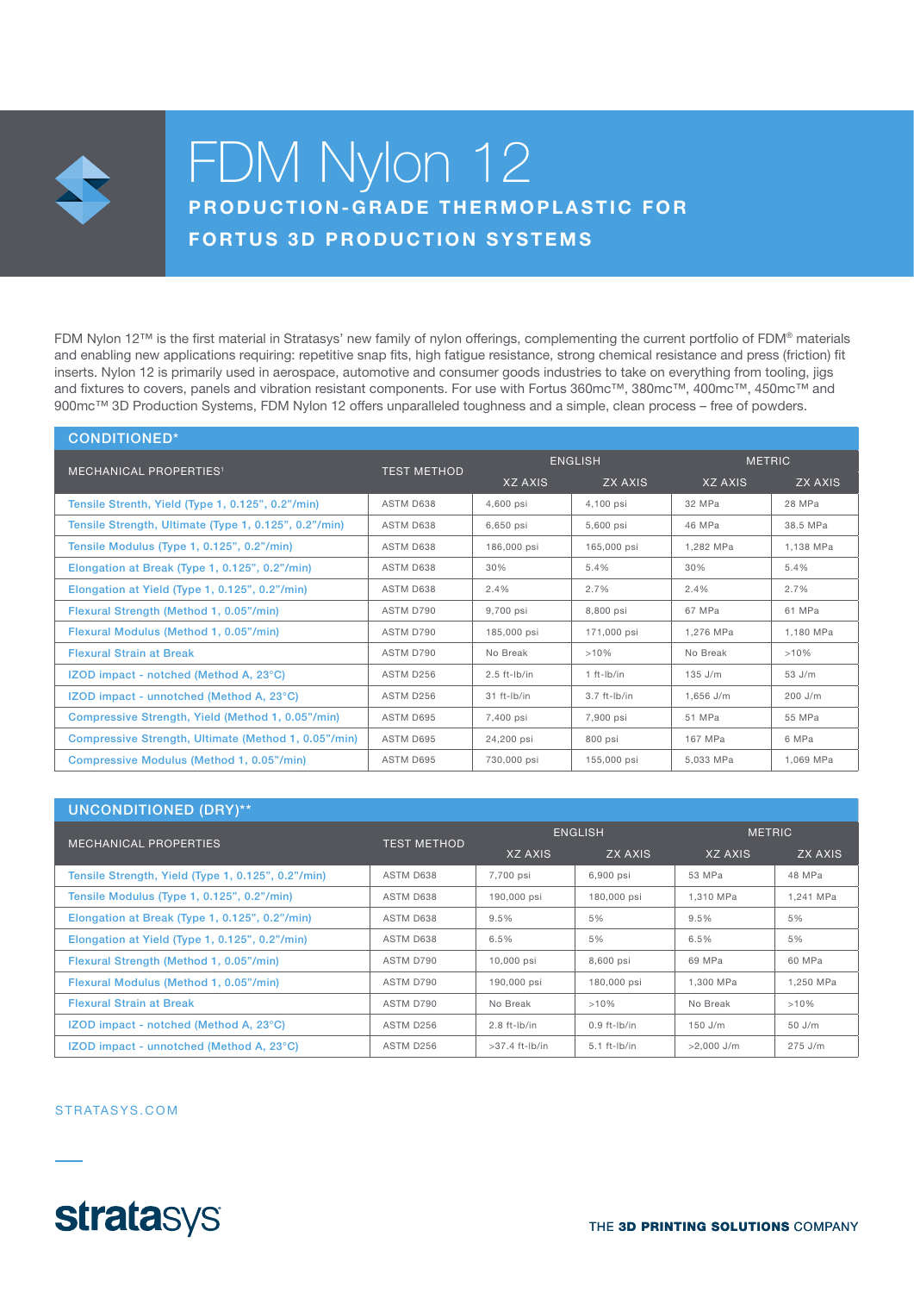

# FDM Nylon 12 PRODUCTION-GRADE THERMOPLASTIC FOR

**FORTUS 3D PRODUCTION SYSTEMS** 

FDM Nylon 12™ is the first material in Stratasys' new family of nylon offerings, complementing the current portfolio of FDM® materials and enabling new applications requiring: repetitive snap fits, high fatigue resistance, strong chemical resistance and press (friction) fit inserts. Nylon 12 is primarily used in aerospace, automotive and consumer goods industries to take on everything from tooling, jigs and fixtures to covers, panels and vibration resistant components. For use with Fortus 360mc™, 380mc™, 400mc™, 450mc™ and 900mc™ 3D Production Systems, FDM Nylon 12 offers unparalleled toughness and a simple, clean process – free of powders.

| <b>CONDITIONED*</b>                                   |                    |                |                |               |           |
|-------------------------------------------------------|--------------------|----------------|----------------|---------------|-----------|
| <b>MECHANICAL PROPERTIES<sup>1</sup></b>              | <b>TEST METHOD</b> | <b>ENGLISH</b> |                | <b>METRIC</b> |           |
|                                                       |                    | <b>XZ AXIS</b> | ZX AXIS        | XZ AXIS       | ZX AXIS   |
| Tensile Strenth, Yield (Type 1, 0.125", 0.2"/min)     | ASTM D638          | 4,600 psi      | 4,100 psi      | 32 MPa        | 28 MPa    |
| Tensile Strength, Ultimate (Type 1, 0.125", 0.2"/min) | ASTM D638          | 6,650 psi      | 5,600 psi      | 46 MPa        | 38.5 MPa  |
| Tensile Modulus (Type 1, 0.125", 0.2"/min)            | ASTM D638          | 186,000 psi    | 165,000 psi    | 1.282 MPa     | 1.138 MPa |
| Elongation at Break (Type 1, 0.125", 0.2"/min)        | ASTM D638          | 30%            | 5.4%           | 30%           | 5.4%      |
| Elongation at Yield (Type 1, 0.125", 0.2"/min)        | ASTM D638          | 2.4%           | 2.7%           | 2.4%          | 2.7%      |
| Flexural Strength (Method 1, 0.05"/min)               | ASTM D790          | 9.700 psi      | 8.800 psi      | 67 MPa        | 61 MPa    |
| Flexural Modulus (Method 1, 0.05"/min)                | ASTM D790          | 185,000 psi    | 171,000 psi    | 1.276 MPa     | 1.180 MPa |
| <b>Flexural Strain at Break</b>                       | ASTM D790          | No Break       | >10%           | No Break      | >10%      |
| IZOD impact - notched (Method A, 23°C)                | ASTM D256          | $2.5$ ft-lb/in | $1 ft-lb/in$   | $135$ J/m     | 53 J/m    |
| IZOD impact - unnotched (Method A, 23°C)              | ASTM D256          | 31 ft-lb/in    | $3.7$ ft-lb/in | $1.656$ J/m   | 200 J/m   |
| Compressive Strength, Yield (Method 1, 0.05"/min)     | ASTM D695          | 7,400 psi      | 7,900 psi      | 51 MPa        | 55 MPa    |
| Compressive Strength, Ultimate (Method 1, 0.05"/min)  | ASTM D695          | 24,200 psi     | 800 psi        | 167 MPa       | 6 MPa     |
| Compressive Modulus (Method 1, 0.05"/min)             | ASTM D695          | 730,000 psi    | 155,000 psi    | 5.033 MPa     | 1.069 MPa |

| <b>UNCONDITIONED (DRY)**</b>                       |                    |                  |                   |               |           |
|----------------------------------------------------|--------------------|------------------|-------------------|---------------|-----------|
| <b>MECHANICAL PROPERTIES</b>                       | <b>TEST METHOD</b> | <b>ENGLISH</b>   |                   | <b>METRIC</b> |           |
|                                                    |                    | XZ AXIS          | ZX AXIS           | XZ AXIS       | ZX AXIS   |
| Tensile Strength, Yield (Type 1, 0.125", 0.2"/min) | ASTM D638          | 7,700 psi        | 6,900 psi         | 53 MPa        | 48 MPa    |
| Tensile Modulus (Type 1, 0.125", 0.2"/min)         | ASTM D638          | 190,000 psi      | 180,000 psi       | 1.310 MPa     | 1.241 MPa |
| Elongation at Break (Type 1, 0.125", 0.2"/min)     | ASTM D638          | 9.5%             | 5%                | 9.5%          | 5%        |
| Elongation at Yield (Type 1, 0.125", 0.2"/min)     | ASTM D638          | 6.5%             | 5%                | 6.5%          | 5%        |
| Flexural Strength (Method 1, 0.05"/min)            | ASTM D790          | 10,000 psi       | 8,600 psi         | 69 MPa        | 60 MPa    |
| Flexural Modulus (Method 1, 0.05"/min)             | ASTM D790          | 190,000 psi      | 180,000 psi       | 1,300 MPa     | 1,250 MPa |
| <b>Flexural Strain at Break</b>                    | ASTM D790          | No Break         | >10%              | No Break      | >10%      |
| IZOD impact - notched (Method A, 23°C)             | ASTM D256          | $2.8$ ft-lb/in   | $0.9$ ft-lb/in    | $150$ J/m     | 50 J/m    |
| IZOD impact - unnotched (Method A, 23°C)           | ASTM D256          | $>37.4$ ft-lb/in | $5.1$ ft- $lb/in$ | $>2.000$ J/m  | $275$ J/m |

#### STRATASYS.COM